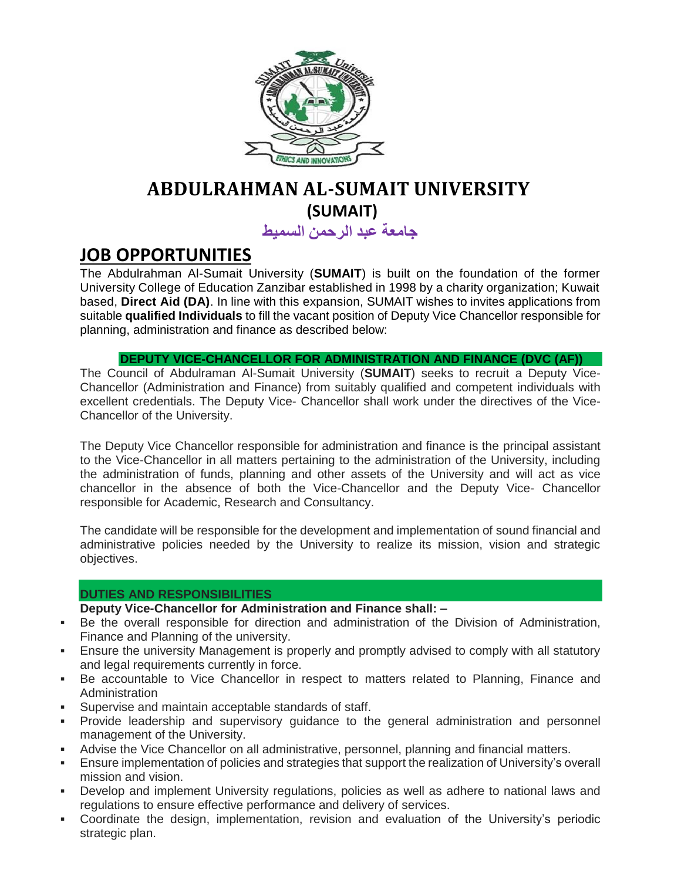

# **ABDULRAHMAN AL-SUMAIT UNIVERSITY (SUMAIT)**

**جامعة عبد الرحمن السميط**

# **JOB OPPORTUNITIES**

The Abdulrahman Al-Sumait University (**SUMAIT**) is built on the foundation of the former University College of Education Zanzibar established in 1998 by a charity organization; Kuwait based, **Direct Aid (DA)**. In line with this expansion, SUMAIT wishes to invites applications from suitable **qualified Individuals** to fill the vacant position of Deputy Vice Chancellor responsible for planning, administration and finance as described below:

# **DEPUTY VICE-CHANCELLOR FOR ADMINISTRATION AND FINANCE (DVC (AF))**

The Council of Abdulraman Al-Sumait University (**SUMAIT**) seeks to recruit a Deputy Vice-Chancellor (Administration and Finance) from suitably qualified and competent individuals with excellent credentials. The Deputy Vice- Chancellor shall work under the directives of the Vice-Chancellor of the University.

The Deputy Vice Chancellor responsible for administration and finance is the principal assistant to the Vice-Chancellor in all matters pertaining to the administration of the University, including the administration of funds, planning and other assets of the University and will act as vice chancellor in the absence of both the Vice-Chancellor and the Deputy Vice- Chancellor responsible for Academic, Research and Consultancy.

The candidate will be responsible for the development and implementation of sound financial and administrative policies needed by the University to realize its mission, vision and strategic objectives.

# **DUTIES AND RESPONSIBILITIES**

**Deputy Vice-Chancellor for Administration and Finance shall: –**

- Be the overall responsible for direction and administration of the Division of Administration, Finance and Planning of the university.
- Ensure the university Management is properly and promptly advised to comply with all statutory and legal requirements currently in force.
- Be accountable to Vice Chancellor in respect to matters related to Planning, Finance and **Administration**
- Supervise and maintain acceptable standards of staff.
- Provide leadership and supervisory guidance to the general administration and personnel management of the University.
- Advise the Vice Chancellor on all administrative, personnel, planning and financial matters.
- Ensure implementation of policies and strategies that support the realization of University's overall mission and vision.
- Develop and implement University regulations, policies as well as adhere to national laws and regulations to ensure effective performance and delivery of services.
- Coordinate the design, implementation, revision and evaluation of the University's periodic strategic plan.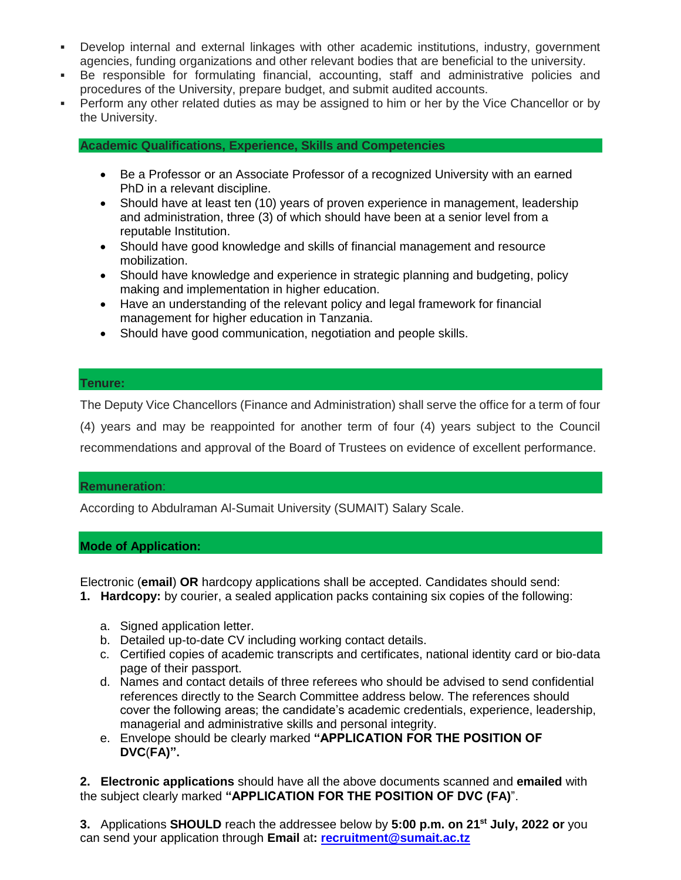- Develop internal and external linkages with other academic institutions, industry, government agencies, funding organizations and other relevant bodies that are beneficial to the university.
- Be responsible for formulating financial, accounting, staff and administrative policies and procedures of the University, prepare budget, and submit audited accounts.
- Perform any other related duties as may be assigned to him or her by the Vice Chancellor or by the University.

**Academic Qualifications, Experience, Skills and Competencies**

- Be a Professor or an Associate Professor of a recognized University with an earned PhD in a relevant discipline.
- Should have at least ten (10) years of proven experience in management, leadership and administration, three (3) of which should have been at a senior level from a reputable Institution.
- Should have good knowledge and skills of financial management and resource mobilization.
- Should have knowledge and experience in strategic planning and budgeting, policy making and implementation in higher education.
- Have an understanding of the relevant policy and legal framework for financial management for higher education in Tanzania.
- Should have good communication, negotiation and people skills.

### **Tenure:**

The Deputy Vice Chancellors (Finance and Administration) shall serve the office for a term of four

(4) years and may be reappointed for another term of four (4) years subject to the Council recommendations and approval of the Board of Trustees on evidence of excellent performance.

### **Remuneration**:

According to Abdulraman Al-Sumait University (SUMAIT) Salary Scale.

### **Mode of Application:**

Electronic (**email**) **OR** hardcopy applications shall be accepted. Candidates should send:

- **1. Hardcopy:** by courier, a sealed application packs containing six copies of the following:
	- a. Signed application letter.
	- b. Detailed up-to-date CV including working contact details.
	- c. Certified copies of academic transcripts and certificates, national identity card or bio-data page of their passport.
	- d. Names and contact details of three referees who should be advised to send confidential references directly to the Search Committee address below. The references should cover the following areas; the candidate's academic credentials, experience, leadership, managerial and administrative skills and personal integrity.
	- e. Envelope should be clearly marked **"APPLICATION FOR THE POSITION OF DVC**(**FA)".**

**2. Electronic applications** should have all the above documents scanned and **emailed** with the subject clearly marked **"APPLICATION FOR THE POSITION OF DVC (FA)**".

**3.** Applications **SHOULD** reach the addressee below by **5:00 p.m. on 21 st July, 2022 or** you can send your application through **Email** at**: [recruitment@sumait.ac.tz](mailto:recruitment@sumait.ac.tz)**